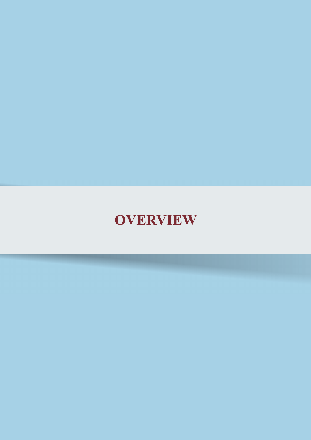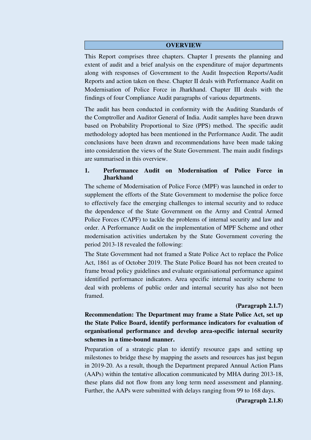#### **OVERVIEW**

This Report comprises three chapters. Chapter I presents the planning and extent of audit and a brief analysis on the expenditure of major departments along with responses of Government to the Audit Inspection Reports/Audit Reports and action taken on these. Chapter II deals with Performance Audit on Modernisation of Police Force in Jharkhand. Chapter III deals with the findings of four Compliance Audit paragraphs of various departments.

The audit has been conducted in conformity with the Auditing Standards of the Comptroller and Auditor General of India. Audit samples have been drawn based on Probability Proportional to Size (PPS) method. The specific audit methodology adopted has been mentioned in the Performance Audit. The audit conclusions have been drawn and recommendations have been made taking into consideration the views of the State Government. The main audit findings are summarised in this overview.

### **1. Performance Audit on Modernisation of Police Force in Jharkhand**

The scheme of Modernisation of Police Force (MPF) was launched in order to supplement the efforts of the State Government to modernise the police force to effectively face the emerging challenges to internal security and to reduce the dependence of the State Government on the Army and Central Armed Police Forces (CAPF) to tackle the problems of internal security and law and order. A Performance Audit on the implementation of MPF Scheme and other modernisation activities undertaken by the State Government covering the period 2013-18 revealed the following:

The State Government had not framed a State Police Act to replace the Police Act, 1861 as of October 2019. The State Police Board has not been created to frame broad policy guidelines and evaluate organisational performance against identified performance indicators. Area specific internal security scheme to deal with problems of public order and internal security has also not been framed.

### **(Paragraph 2.1.7)**

**Recommendation: The Department may frame a State Police Act, set up the State Police Board, identify performance indicators for evaluation of organisational performance and develop area-specific internal security schemes in a time-bound manner.** 

Preparation of a strategic plan to identify resource gaps and setting up milestones to bridge these by mapping the assets and resources has just begun in 2019-20. As a result, though the Department prepared Annual Action Plans (AAPs) within the tentative allocation communicated by MHA during 2013-18, these plans did not flow from any long term need assessment and planning. Further, the AAPs were submitted with delays ranging from 99 to 168 days.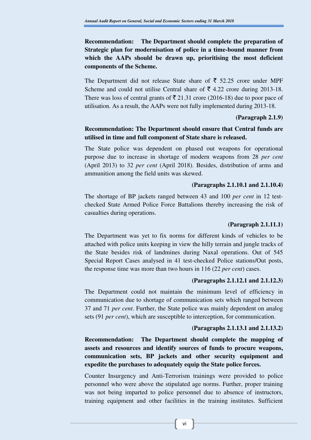# **Recommendation: The Department should complete the preparation of Strategic plan for modernisation of police in a time-bound manner from which the AAPs should be drawn up, prioritising the most deficient components of the Scheme.**

The Department did not release State share of  $\bar{\tau}$  52.25 crore under MPF Scheme and could not utilise Central share of  $\bar{\tau}$  4.22 crore during 2013-18. There was loss of central grants of  $\bar{\bar{\xi}}$  21.31 crore (2016-18) due to poor pace of utilisation. As a result, the AAPs were not fully implemented during 2013-18.

### **(Paragraph 2.1.9)**

# **Recommendation: The Department should ensure that Central funds are utilised in time and full component of State share is released.**

The State police was dependent on phased out weapons for operational purpose due to increase in shortage of modern weapons from 28 *per cent* (April 2013) to 32 *per cent* (April 2018). Besides, distribution of arms and ammunition among the field units was skewed.

#### **(Paragraphs 2.1.10.1 and 2.1.10.4)**

The shortage of BP jackets ranged between 43 and 100 *per cent* in 12 testchecked State Armed Police Force Battalions thereby increasing the risk of casualties during operations.

#### **(Paragraph 2.1.11.1)**

The Department was yet to fix norms for different kinds of vehicles to be attached with police units keeping in view the hilly terrain and jungle tracks of the State besides risk of landmines during Naxal operations. Out of 545 Special Report Cases analysed in 41 test-checked Police stations/Out posts, the response time was more than two hours in 116 (22 *per cent*) cases.

### **(Paragraphs 2.1.12.1 and 2.1.12.3)**

The Department could not maintain the minimum level of efficiency in communication due to shortage of communication sets which ranged between 37 and 71 *per cent*. Further, the State police was mainly dependent on analog sets (91 *per cent*), which are susceptible to interception, for communication.

### **(Paragraphs 2.1.13.1 and 2.1.13.2)**

**Recommendation: The Department should complete the mapping of assets and resources and identify sources of funds to procure weapons, communication sets, BP jackets and other security equipment and expedite the purchases to adequately equip the State police forces.** 

Counter Insurgency and Anti-Terrorism trainings were provided to police personnel who were above the stipulated age norms. Further, proper training was not being imparted to police personnel due to absence of instructors, training equipment and other facilities in the training institutes. Sufficient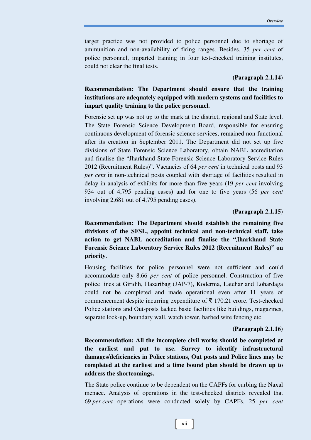target practice was not provided to police personnel due to shortage of ammunition and non-availability of firing ranges. Besides, 35 *per cent* of police personnel, imparted training in four test-checked training institutes, could not clear the final tests.

### **(Paragraph 2.1.14)**

# **Recommendation: The Department should ensure that the training institutions are adequately equipped with modern systems and facilities to impart quality training to the police personnel.**

Forensic set up was not up to the mark at the district, regional and State level. The State Forensic Science Development Board, responsible for ensuring continuous development of forensic science services, remained non-functional after its creation in September 2011. The Department did not set up five divisions of State Forensic Science Laboratory, obtain NABL accreditation and finalise the "Jharkhand State Forensic Science Laboratory Service Rules 2012 (Recruitment Rules)". Vacancies of 64 *per cent* in technical posts and 93 *per cent* in non-technical posts coupled with shortage of facilities resulted in delay in analysis of exhibits for more than five years (19 *per cent* involving 934 out of 4,795 pending cases) and for one to five years (56 *per cent* involving 2,681 out of 4,795 pending cases).

#### **(Paragraph 2.1.15)**

**Recommendation: The Department should establish the remaining five divisions of the SFSL, appoint technical and non-technical staff, take action to get NABL accreditation and finalise the "Jharkhand State Forensic Science Laboratory Service Rules 2012 (Recruitment Rules)" on priority**.

Housing facilities for police personnel were not sufficient and could accommodate only 8.66 *per cent* of police personnel. Construction of five police lines at Giridih, Hazaribag (JAP-7), Koderma, Latehar and Lohardaga could not be completed and made operational even after 11 years of commencement despite incurring expenditure of  $\bar{\tau}$  170.21 crore. Test-checked Police stations and Out-posts lacked basic facilities like buildings, magazines, separate lock-up, boundary wall, watch tower, barbed wire fencing etc.

#### **(Paragraph 2.1.16)**

**Recommendation: All the incomplete civil works should be completed at the earliest and put to use. Survey to identify infrastructural damages/deficiencies in Police stations, Out posts and Police lines may be completed at the earliest and a time bound plan should be drawn up to address the shortcomings.** 

The State police continue to be dependent on the CAPFs for curbing the Naxal menace. Analysis of operations in the test-checked districts revealed that 69 *per cent* operations were conducted solely by CAPFs, 25 *per cent*